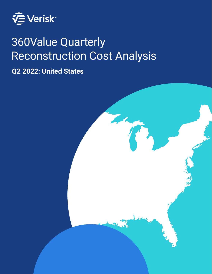

# 360Value Quarterly Reconstruction Cost Analysis

**Q2 2022: United States**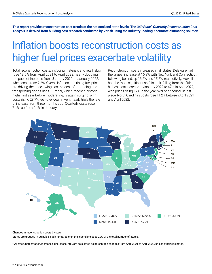**This report provides reconstruction cost trends at the national and state levels. The** *360Value® Quarterly Reconstruction Cost Analysis* **is derived from building cost research conducted by Verisk using the industry-leading Xactimate estimating solution.**

## Inflation boosts reconstruction costs as higher fuel prices exacerbate volatility

Total reconstruction costs, including materials and retail labor, rose 13.5% from April 2021 to April 2022, nearly doubling the pace of increase from January 2021 to January 2022, when costs rose 7.2%. Overall inflation and rising fuel prices are driving the price swings as the cost of producing and transporting goods rises. Lumber, which reached historic highs last year before moderating, is again surging, with costs rising 28.7% year-over-year in April, nearly triple the rate of increase from three months ago. Quarterly costs rose 7.1%, up from 2.1% in January.

Reconstruction costs increased in all states. Delaware had the largest increase at 16.8% with New York and Connecticut following behind, up 16.2% and 15.5%, respectively. Hawaii had the most significant shift in rank, falling from the fifthhighest cost increase in January 2022 to 47th in April 2022, with prices rising 12% in the year-over-year period. In last place, North Carolina's costs rose 11.2% between April 2021 and April 2022.



Changes in reconstruction costs by state.

States are grouped in quintiles; each range/color in the legend includes 20% of the total number of states.

\* All rates, percentages, increases, decreases, etc., are calculated as percentage changes from April 2021 to April 2022, unless otherwise noted.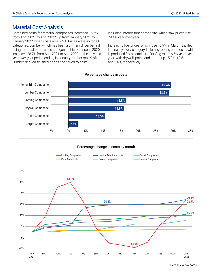### Material Cost Analysis

Combined costs for material composites increased 16.5% from April 2021 to April 2022, up from January 2021 to January 2022, when costs rose 7.5%. Prices were up for all categories. Lumber, which has been a primary driver behind rising material costs since it began its historic rise in 2020, increased 28.7% from April 2021 to April 2022. In the previous year-over-year period ending in January, lumber rose 9.8%. Lumber-derived finished goods continued to spike,

including interior trim composite, which saw prices rise 29.4% year-over-year.

Increasing fuel prices, which rose 45.9% in March, trickled into nearly every category, including roofing composite, which is produced from petroleum. Roofing rose 16.5% year-overyear, with drywall, paint, and carpet up 15.9%, 10.5, and 2.6%, respectively.



Percentage change in costs by month

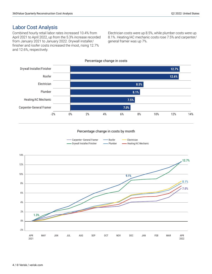### Labor Cost Analysis

Combined hourly retail labor rates increased 10.4% from April 2021 to April 2022, up from the 5.3% increase recorded from January 2021 to January 2022. Drywall installer/ finisher and roofer costs increased the most, rising 12.7% and 12.6%, respectively.

Electrician costs were up 8.5%, while plumber costs were up 8.1%. Heating/AC mechanic costs rose 7.5% and carpenter/ general framer was up 7%.



#### Percentage change in costs by month